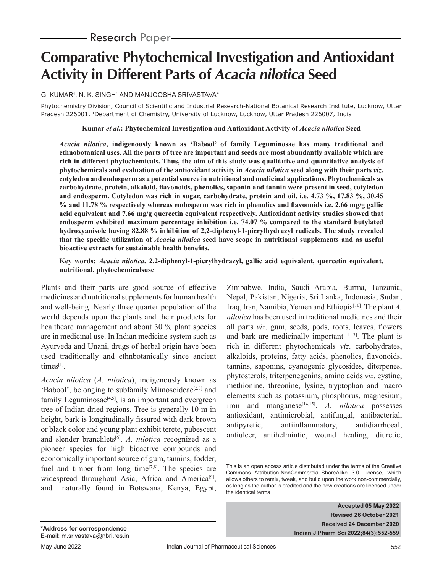# **Comparative Phytochemical Investigation and Antioxidant Activity in Different Parts of Acacia nilotica Seed**

G. KUMAR1 , N. K. SINGH1 AND MANJOOSHA SRIVASTAVA\*

Phytochemistry Division, Council of Scientific and Industrial Research-National Botanical Research Institute, Lucknow, Uttar Pradesh 226001, <sup>1</sup>Department of Chemistry, University of Lucknow, Lucknow, Uttar Pradesh 226007, India

**Kumar** *et al.***: Phytochemical Investigation and Antioxidant Activity of** *Acacia nilotica* **Seed**

*Acacia nilotica***, indigenously known as 'Babool' of family Leguminosae has many traditional and ethnobotanical uses. All the parts of tree are important and seeds are most abundantly available which are rich in different phytochemicals. Thus, the aim of this study was qualitative and quantitative analysis of phytochemicals and evaluation of the antioxidant activity in** *Acacia nilotica* **seed along with their parts** *viz***. cotyledon and endosperm as a potential source in nutritional and medicinal applications. Phytochemicals as carbohydrate, protein, alkaloid, flavonoids, phenolics, saponin and tannin were present in seed, cotyledon and endosperm. Cotyledon was rich in sugar, carbohydrate, protein and oil, i.e. 4.73 %, 17.83 %, 30.45 % and 11.78 % respectively whereas endosperm was rich in phenolics and flavonoids i.e. 2.66 mg/g gallic acid equivalent and 7.66 mg/g quercetin equivalent respectively. Antioxidant activity studies showed that endosperm exhibited maximum percentage inhibition i.e. 74.07 % compared to the standard butylated hydroxyanisole having 82.88 % inhibition of 2,2-diphenyl-1-picrylhydrazyl radicals. The study revealed that the specific utilization of** *Acacia nilotica* **seed have scope in nutritional supplements and as useful bioactive extracts for sustainable health benefits.**

**Key words:** *Acacia nilotica***, 2,2-diphenyl-1-picrylhydrazyl, gallic acid equivalent, quercetin equivalent, nutritional, phytochemicalsuse**

Plants and their parts are good source of effective medicines and nutritional supplements for human health and well-being. Nearly three quarter population of the world depends upon the plants and their products for healthcare management and about 30 % plant species are in medicinal use. In Indian medicine system such as Ayurveda and Unani, drugs of herbal origin have been used traditionally and ethnbotanically since ancient times<sup>[1]</sup>.

*Acacia nilotica* (*A. nilotica*), indigenously known as 'Babool', belonging to subfamily Mimosoideae<sup>[2,3]</sup> and family Leguminosae<sup>[4,5]</sup>, is an important and evergreen tree of Indian dried regions. Tree is generally 10 m in height, bark is longitudinally fissured with dark brown or black color and young plant exhibit terete, pubescent and slender branchlets<sup>[6]</sup>. *A. nilotica* recognized as a pioneer species for high bioactive compounds and economically important source of gum, tannins, fodder, fuel and timber from long time $[7,8]$ . The species are widespread throughout Asia, Africa and America<sup>[9]</sup>, and naturally found in Botswana, Kenya, Egypt,

Zimbabwe, India, Saudi Arabia, Burma, Tanzania, Nepal, Pakistan, Nigeria, Sri Lanka, Indonesia, Sudan, Iraq, Iran, Namibia, Yemen and Ethiopia[10]. The plant *A. nilotica* has been used in traditional medicines and their all parts *viz*. gum, seeds, pods, roots, leaves, flowers and bark are medicinally important $[11-13]$ . The plant is rich in different phytochemicals *viz*. carbohydrates, alkaloids, proteins, fatty acids, phenolics, flavonoids, tannins, saponins, cyanogenic glycosides, diterpenes, phytosterols, triterpenegenins, amino acids *viz*. cystine, methionine, threonine, lysine, tryptophan and macro elements such as potassium, phosphorus, magnesium, iron and manganese<sup>[14,15]</sup>. *A. nilotica* possesses antioxidant, antimicrobial, antifungal, antibacterial, antipyretic, antiinflammatory, antidiarrhoeal, antiulcer, antihelmintic, wound healing, diuretic,

This is an open access article distributed under the terms of the Creative Commons Attribution-NonCommercial-ShareAlike 3.0 License, which allows others to remix, tweak, and build upon the work non-commercially, as long as the author is credited and the new creations are licensed under the identical terms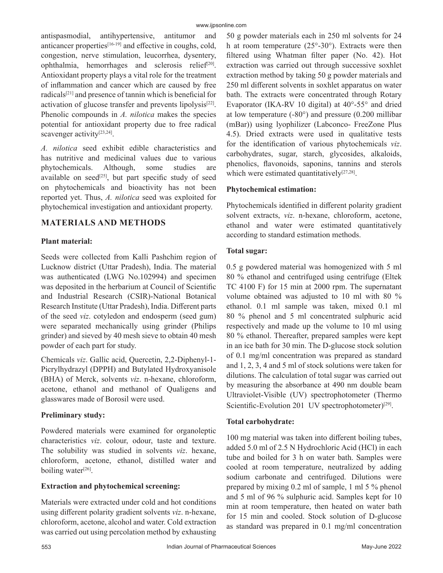antispasmodial, antihypertensive, antitumor and anticancer properties[16-19] and effective in coughs, cold, congestion, nerve stimulation, leucorrhea, dysentery, ophthalmia, hemorrhages and sclerosis relief<sup>[20]</sup>. Antioxidant property plays a vital role for the treatment of inflammation and cancer which are caused by free radicals[21] and presence of tannin which is beneficial for activation of glucose transfer and prevents lipolysis[22]. Phenolic compounds in *A. nilotica* makes the species potential for antioxidant property due to free radical scavenger activity<sup>[23,24]</sup>.

*A. nilotica* seed exhibit edible characteristics and has nutritive and medicinal values due to various phytochemicals. Although, some studies are available on seed<sup>[25]</sup>, but part specific study of seed on phytochemicals and bioactivity has not been reported yet. Thus, *A. nilotica* seed was exploited for phytochemical investigation and antioxidant property.

# **MATERIALS AND METHODS**

# **Plant material:**

Seeds were collected from Kalli Pashchim region of Lucknow district (Uttar Pradesh), India. The material was authenticated (LWG No.102994) and specimen was deposited in the herbarium at Council of Scientific and Industrial Research (CSIR)-National Botanical Research Institute (Uttar Pradesh), India. Different parts of the seed *viz*. cotyledon and endosperm (seed gum) were separated mechanically using grinder (Philips grinder) and sieved by 40 mesh sieve to obtain 40 mesh powder of each part for study.

Chemicals *viz*. Gallic acid, Quercetin, 2,2-Diphenyl-1- Picrylhydrazyl (DPPH) and Butylated Hydroxyanisole (BHA) of Merck, solvents *viz*. n-hexane, chloroform, acetone, ethanol and methanol of Qualigens and glasswares made of Borosil were used.

# **Preliminary study:**

Powdered materials were examined for organoleptic characteristics *viz*. colour, odour, taste and texture. The solubility was studied in solvents *viz*. hexane, chloroform, acetone, ethanol, distilled water and boiling water $[26]$ .

# **Extraction and phytochemical screening:**

Materials were extracted under cold and hot conditions using different polarity gradient solvents *viz*. n-hexane, chloroform, acetone, alcohol and water. Cold extraction was carried out using percolation method by exhausting 50 g powder materials each in 250 ml solvents for 24 h at room temperature  $(25^{\circ} - 30^{\circ})$ . Extracts were then filtered using Whatman filter paper (No. 42). Hot extraction was carried out through successive soxhlet extraction method by taking 50 g powder materials and 250 ml different solvents in soxhlet apparatus on water bath. The extracts were concentrated through Rotary Evaporator (IKA-RV 10 digital) at 40°-55° and dried at low temperature (-80°) and pressure (0.200 millibar (mBar)) using lyophilizer (Labconco- FreeZone Plus 4.5). Dried extracts were used in qualitative tests for the identification of various phytochemicals *viz*. carbohydrates, sugar, starch, glycosides, alkaloids, phenolics, flavonoids, saponins, tannins and sterols which were estimated quantitatively<sup>[27,28]</sup>.

# **Phytochemical estimation:**

Phytochemicals identified in different polarity gradient solvent extracts, *viz*. n-hexane, chloroform, acetone, ethanol and water were estimated quantitatively according to standard estimation methods.

#### **Total sugar:**

0.5 g powdered material was homogenized with 5 ml 80 % ethanol and centrifuged using centrifuge (Eltek TC 4100 F) for 15 min at 2000 rpm. The supernatant volume obtained was adjusted to 10 ml with 80 % ethanol. 0.1 ml sample was taken, mixed 0.1 ml 80 % phenol and 5 ml concentrated sulphuric acid respectively and made up the volume to 10 ml using 80 % ethanol. Thereafter, prepared samples were kept in an ice bath for 30 min. The D-glucose stock solution of 0.1 mg/ml concentration was prepared as standard and 1, 2, 3, 4 and 5 ml of stock solutions were taken for dilutions. The calculation of total sugar was carried out by measuring the absorbance at 490 nm double beam Ultraviolet-Visible (UV) spectrophotometer (Thermo Scientific-Evolution 201 UV spectrophotometer)<sup>[29]</sup>.

# **Total carbohydrate:**

100 mg material was taken into different boiling tubes, added 5.0 ml of 2.5 N Hydrochloric Acid (HCl) in each tube and boiled for 3 h on water bath. Samples were cooled at room temperature, neutralized by adding sodium carbonate and centrifuged. Dilutions were prepared by mixing 0.2 ml of sample, 1 ml 5 % phenol and 5 ml of 96 % sulphuric acid. Samples kept for 10 min at room temperature, then heated on water bath for 15 min and cooled. Stock solution of D-glucose as standard was prepared in 0.1 mg/ml concentration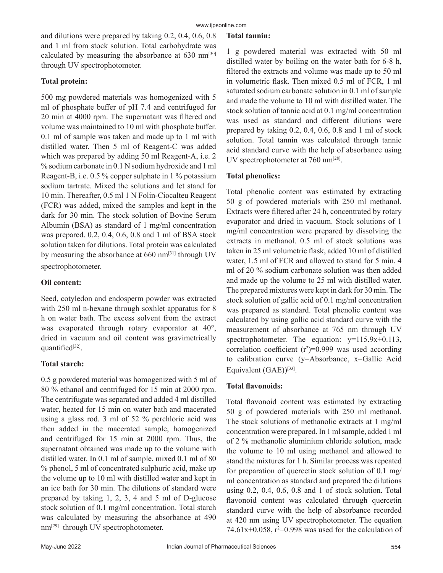and dilutions were prepared by taking 0.2, 0.4, 0.6, 0.8 and 1 ml from stock solution. Total carbohydrate was calculated by measuring the absorbance at  $630 \text{ nm}^{[30]}$ through UV spectrophotometer.

### **Total protein:**

500 mg powdered materials was homogenized with 5 ml of phosphate buffer of pH 7.4 and centrifuged for 20 min at 4000 rpm. The supernatant was filtered and volume was maintained to 10 ml with phosphate buffer. 0.1 ml of sample was taken and made up to 1 ml with distilled water. Then 5 ml of Reagent-C was added which was prepared by adding 50 ml Reagent-A, i.e. 2 % sodium carbonate in 0.1 N sodium hydroxide and 1 ml Reagent-B, i.e. 0.5 % copper sulphate in 1 % potassium sodium tartrate. Mixed the solutions and let stand for 10 min. Thereafter, 0.5 ml 1 N Folin-Ciocalteu Reagent (FCR) was added, mixed the samples and kept in the dark for 30 min. The stock solution of Bovine Serum Albumin (BSA) as standard of 1 mg/ml concentration was prepared. 0.2, 0.4, 0.6, 0.8 and 1 ml of BSA stock solution taken for dilutions. Total protein was calculated by measuring the absorbance at 660 nm<sup>[31]</sup> through UV spectrophotometer.

### **Oil content:**

Seed, cotyledon and endosperm powder was extracted with 250 ml n-hexane through soxhlet apparatus for 8 h on water bath. The excess solvent from the extract was evaporated through rotary evaporator at 40°, dried in vacuum and oil content was gravimetrically quantified<sup>[32]</sup>.

#### **Total starch:**

0.5 g powdered material was homogenized with 5 ml of 80 % ethanol and centrifuged for 15 min at 2000 rpm. The centrifugate was separated and added 4 ml distilled water, heated for 15 min on water bath and macerated using a glass rod. 3 ml of 52 % perchloric acid was then added in the macerated sample, homogenized and centrifuged for 15 min at 2000 rpm. Thus, the supernatant obtained was made up to the volume with distilled water. In 0.1 ml of sample, mixed 0.1 ml of 80 % phenol, 5 ml of concentrated sulphuric acid, make up the volume up to 10 ml with distilled water and kept in an ice bath for 30 min. The dilutions of standard were prepared by taking 1, 2, 3, 4 and 5 ml of D-glucose stock solution of 0.1 mg/ml concentration. Total starch was calculated by measuring the absorbance at 490 nm<sup>[29]</sup> through UV spectrophotometer.

#### **Total tannin:**

1 g powdered material was extracted with 50 ml distilled water by boiling on the water bath for 6-8 h, filtered the extracts and volume was made up to 50 ml in volumetric flask. Then mixed 0.5 ml of FCR, 1 ml saturated sodium carbonate solution in 0.1 ml of sample and made the volume to 10 ml with distilled water. The stock solution of tannic acid at 0.1 mg/ml concentration was used as standard and different dilutions were prepared by taking 0.2, 0.4, 0.6, 0.8 and 1 ml of stock solution. Total tannin was calculated through tannic acid standard curve with the help of absorbance using UV spectrophotometer at 760 nm[28].

#### **Total phenolics:**

Total phenolic content was estimated by extracting 50 g of powdered materials with 250 ml methanol. Extracts were filtered after 24 h, concentrated by rotary evaporator and dried in vacuum. Stock solutions of 1 mg/ml concentration were prepared by dissolving the extracts in methanol. 0.5 ml of stock solutions was taken in 25 ml volumetric flask, added 10 ml of distilled water, 1.5 ml of FCR and allowed to stand for 5 min. 4 ml of 20 % sodium carbonate solution was then added and made up the volume to 25 ml with distilled water. The prepared mixtures were kept in dark for 30 min. The stock solution of gallic acid of 0.1 mg/ml concentration was prepared as standard. Total phenolic content was calculated by using gallic acid standard curve with the measurement of absorbance at 765 nm through UV spectrophotometer. The equation:  $y=115.9x+0.113$ , correlation coefficient  $(r^2) = 0.999$  was used according to calibration curve (y=Absorbance, x=Gallic Acid Equivalent (GAE))<sup>[33]</sup>.

# **Total flavonoids:**

Total flavonoid content was estimated by extracting 50 g of powdered materials with 250 ml methanol. The stock solutions of methanolic extracts at 1 mg/ml concentration were prepared. In 1 ml sample, added 1 ml of 2 % methanolic aluminium chloride solution, made the volume to 10 ml using methanol and allowed to stand the mixtures for 1 h. Similar process was repeated for preparation of quercetin stock solution of 0.1 mg/ ml concentration as standard and prepared the dilutions using 0.2, 0.4, 0.6, 0.8 and 1 of stock solution. Total flavonoid content was calculated through quercetin standard curve with the help of absorbance recorded at 420 nm using UV spectrophotometer. The equation 74.61x+0.058,  $r^2$ =0.998 was used for the calculation of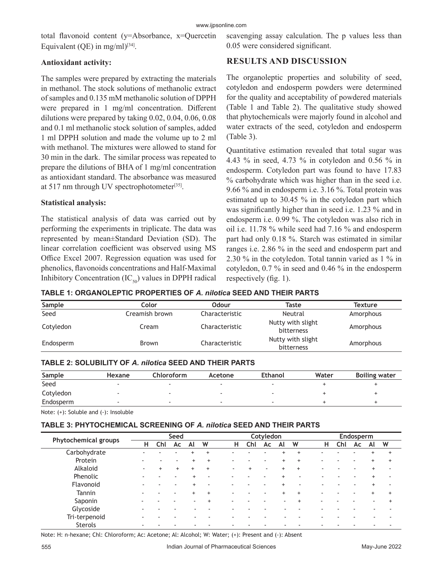total flavonoid content (y=Absorbance, x=Quercetin Equivalent (QE) in mg/ml $)^{[34]}$ .

### **Antioxidant activity:**

The samples were prepared by extracting the materials in methanol. The stock solutions of methanolic extract of samples and 0.135 mM methanolic solution of DPPH were prepared in 1 mg/ml concentration. Different dilutions were prepared by taking 0.02, 0.04, 0.06, 0.08 and 0.1 ml methanolic stock solution of samples, added 1 ml DPPH solution and made the volume up to 2 ml with methanol. The mixtures were allowed to stand for 30 min in the dark. The similar process was repeated to prepare the dilutions of BHA of 1 mg/ml concentration as antioxidant standard. The absorbance was measured at 517 nm through UV spectrophotometer<sup>[35]</sup>.

#### **Statistical analysis:**

The statistical analysis of data was carried out by performing the experiments in triplicate. The data was represented by mean±Standard Deviation (SD). The linear correlation coefficient was observed using MS Office Excel 2007. Regression equation was used for phenolics, flavonoids concentrations and Half-Maximal Inhibitory Concentration  $(IC_{50})$  values in DPPH radical scavenging assay calculation. The p values less than 0.05 were considered significant.

# **RESULTS AND DISCUSSION**

The organoleptic properties and solubility of seed, cotyledon and endosperm powders were determined for the quality and acceptability of powdered materials (Table 1 and Table 2). The qualitative study showed that phytochemicals were majorly found in alcohol and water extracts of the seed, cotyledon and endosperm (Table 3).

Quantitative estimation revealed that total sugar was 4.43 % in seed, 4.73 % in cotyledon and 0.56 % in endosperm. Cotyledon part was found to have 17.83 % carbohydrate which was higher than in the seed i.e. 9.66 % and in endosperm i.e. 3.16 %. Total protein was estimated up to 30.45 % in the cotyledon part which was significantly higher than in seed i.e. 1.23 % and in endosperm i.e. 0.99 %. The cotyledon was also rich in oil i.e. 11.78 % while seed had 7.16 % and endosperm part had only 0.18 %. Starch was estimated in similar ranges i.e. 2.86 % in the seed and endosperm part and 2.30 % in the cotyledon. Total tannin varied as 1 % in cotyledon, 0.7 % in seed and 0.46 % in the endosperm respectively (fig. 1).

**TABLE 1: ORGANOLEPTIC PROPERTIES OF** *A. nilotica* **SEED AND THEIR PARTS**

| Sample    | Color          | <b>Odour</b>   | Taste                           | <b>Texture</b> |
|-----------|----------------|----------------|---------------------------------|----------------|
| Seed      | Creamish brown | Characteristic | Neutral                         | Amorphous      |
| Cotyledon | Cream          | Characteristic | Nutty with slight<br>bitterness | Amorphous      |
| Endosperm | <b>Brown</b>   | Characteristic | Nutty with slight<br>bitterness | Amorphous      |

| Sample    | Hexane | Chloroform | Acetone | <b>Ethanol</b> | Water | <b>Boiling water</b> |
|-----------|--------|------------|---------|----------------|-------|----------------------|
| Seed      |        |            |         |                |       |                      |
| Cotyledon |        |            |         |                |       |                      |
| Endosperm |        |            |         |                |       |                      |

Note: (+): Soluble and (-): Insoluble

#### **TABLE 3: PHYTOCHEMICAL SCREENING OF** *A. nilotica* **SEED AND THEIR PARTS**

| <b>Phytochemical groups</b> | Seed |        |                          |           | Cotyledon |   |     |                          |           | Endosperm                |   |     |    |    |           |
|-----------------------------|------|--------|--------------------------|-----------|-----------|---|-----|--------------------------|-----------|--------------------------|---|-----|----|----|-----------|
|                             | н    | Chl    | Ac                       | Al        | W         | н | Chl | Ac                       | Al        | W                        | н | Chl | Ac | Al | W         |
| Carbohydrate                |      |        |                          |           | $\ddot{}$ |   |     |                          | $\ddot{}$ | $\div$                   |   |     |    |    | $\ddot{}$ |
| Protein                     |      |        |                          | $+$       | $\ddot{}$ | ۰ |     |                          | $\ddot{}$ | $\div$                   |   |     |    |    | $+$       |
| Alkaloid                    |      | $^{+}$ | $\ddot{}$                | $\ddot{}$ | $\ddot{}$ |   |     | $\overline{\phantom{a}}$ | $\ddot{}$ | $+$                      |   |     |    |    |           |
| Phenolic                    |      |        | $\overline{\phantom{0}}$ | $+$       | -         | - |     |                          |           | $\overline{\phantom{a}}$ |   |     |    |    |           |
| Flavonoid                   |      |        | $\overline{\phantom{a}}$ | $+$       | ٠         | ٠ |     |                          |           | ۰                        |   |     |    |    |           |
| Tannin                      |      |        | ٠                        | $\ddot{}$ | $+$       | ۰ |     |                          | $\ddot{}$ | $+$                      |   |     |    |    | $\ddot{}$ |
| Saponin                     |      |        |                          |           | $\ddot{}$ | ۰ |     |                          | ۰         | $\ddot{}$                |   |     |    |    |           |
| Glycoside                   |      |        |                          |           |           |   |     |                          |           |                          |   |     |    |    |           |
| Tri-terpenoid               |      |        |                          |           |           |   |     |                          |           |                          |   |     |    |    |           |
| <b>Sterols</b>              |      |        |                          |           |           |   |     |                          |           |                          |   |     |    |    |           |

Note: H: n-hexane; Chl: Chloroform; Ac: Acetone; Al: Alcohol; W: Water; (+): Present and (-): Absent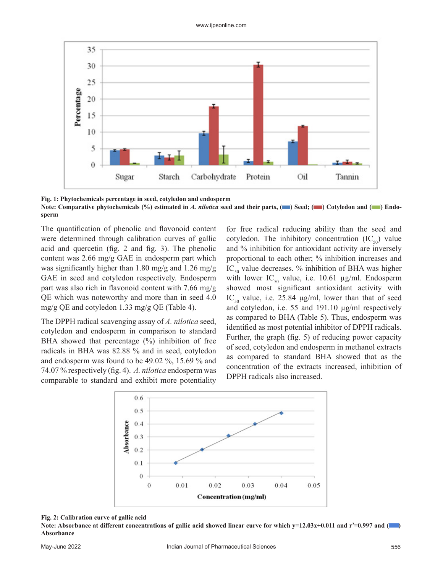

**Fig. 1: Phytochemicals percentage in seed, cotyledon and endosperm** Note: Comparative phytochemicals (%) estimated in *A. nilotica* seed and their parts, ( $\blacksquare$ ) Cotyledon and ( $\blacksquare$ ) Endo**sperm**

The quantification of phenolic and flavonoid content were determined through calibration curves of gallic acid and quercetin (fig. 2 and fig. 3). The phenolic content was 2.66 mg/g GAE in endosperm part which was significantly higher than 1.80 mg/g and 1.26 mg/g GAE in seed and cotyledon respectively. Endosperm part was also rich in flavonoid content with 7.66 mg/g QE which was noteworthy and more than in seed 4.0 mg/g QE and cotyledon 1.33 mg/g QE (Table 4).

The DPPH radical scavenging assay of *A. nilotica* seed, cotyledon and endosperm in comparison to standard BHA showed that percentage (%) inhibition of free radicals in BHA was 82.88 % and in seed, cotyledon and endosperm was found to be 49.02 %, 15.69 % and 74.07 % respectively (fig. 4). *A. nilotica* endosperm was comparable to standard and exhibit more potentiality

for free radical reducing ability than the seed and cotyledon. The inhibitory concentration  $(IC_{50})$  value and % inhibition for antioxidant activity are inversely proportional to each other; % inhibition increases and  $IC_{50}$  value decreases. % inhibition of BHA was higher with lower IC<sub>50</sub> value, i.e. 10.61  $\mu$ g/ml. Endosperm showed most significant antioxidant activity with IC<sub>50</sub> value, i.e. 25.84  $\mu$ g/ml, lower than that of seed and cotyledon, i.e. 55 and 191.10 µg/ml respectively as compared to BHA (Table 5). Thus, endosperm was identified as most potential inhibitor of DPPH radicals. Further, the graph (fig. 5) of reducing power capacity of seed, cotyledon and endosperm in methanol extracts as compared to standard BHA showed that as the concentration of the extracts increased, inhibition of DPPH radicals also increased.



#### **Fig. 2: Calibration curve of gallic acid**

**Note: Absorbance at different concentrations of gallic acid showed linear curve for which y=12.03x+0.011 and r<sup>2</sup>=0.997 and ( Absorbance**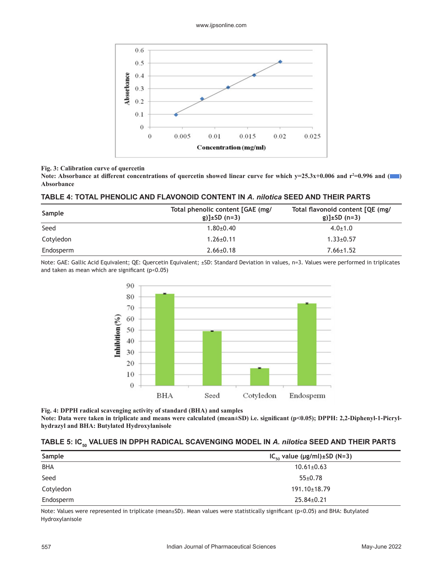

#### **Fig. 3: Calibration curve of quercetin**

**Note: Absorbance at different concentrations of quercetin showed linear curve for which y=25.3x+0.006 and r<sup>2</sup>=0.996 and ( Absorbance**

#### **TABLE 4: TOTAL PHENOLIC AND FLAVONOID CONTENT IN** *A. nilotica* **SEED AND THEIR PARTS**

| Sample    | Total phenolic content [GAE (mg/<br>g)] $\pm$ SD (n=3) | Total flavonoid content [QE (mg/<br>$g)$ ]±SD (n=3) |
|-----------|--------------------------------------------------------|-----------------------------------------------------|
| Seed      | $1.80{\pm}0.40$                                        | $4.0 \pm 1.0$                                       |
| Cotyledon | $1.26 \pm 0.11$                                        | $1.33 \pm 0.57$                                     |
| Endosperm | $2.66 \pm 0.18$                                        | $7.66 \pm 1.52$                                     |

Note: GAE: Gallic Acid Equivalent; QE: Quercetin Equivalent; ±SD: Standard Deviation in values, n=3. Values were performed in triplicates and taken as mean which are significant (p<0.05)



**Fig. 4: DPPH radical scavenging activity of standard (BHA) and samples Note: Data were taken in triplicate and means were calculated (mean±SD) i.e. significant (p<0.05); DPPH: 2,2-Diphenyl-1-Picrylhydrazyl and BHA: Butylated Hydroxylanisole**

#### TABLE 5: IC<sub>50</sub> VALUES IN DPPH RADICAL SCAVENGING MODEL IN *A. nilotica* SEED AND THEIR PARTS

| Sample     | $IC_{50}$ value (µg/ml)±SD (N=3) |
|------------|----------------------------------|
| <b>BHA</b> | $10.61 \pm 0.63$                 |
| Seed       | $55 \pm 0.78$                    |
| Cotyledon  | $191.10 \pm 18.79$               |
| Endosperm  | $25.84 \pm 0.21$                 |

Note: Values were represented in triplicate (mean±SD). Mean values were statistically significant (p<0.05) and BHA: Butylated Hydroxylanisole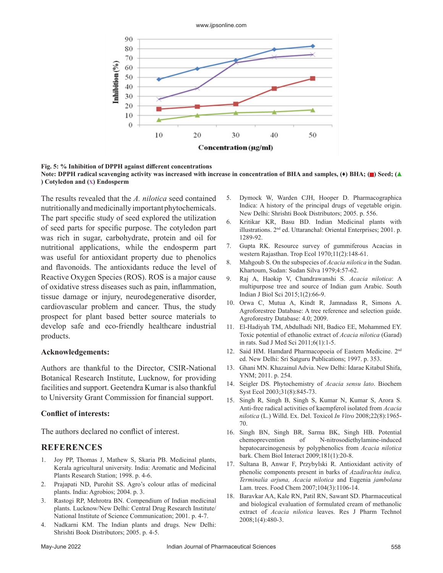



**Fig. 5: % Inhibition of DPPH against different concentrations**  Note: DPPH radical scavenging activity was increased with increase in concentration of BHA and samples, ( $\blacklozenge$ ) BHA; ( $\blacktriangle$ ) Seed; ( $\blacktriangle$ **) Cotyledon and (X) Endosperm**

The results revealed that the *A. nilotica* seed contained nutritionally and medicinally important phytochemicals. The part specific study of seed explored the utilization of seed parts for specific purpose. The cotyledon part was rich in sugar, carbohydrate, protein and oil for nutritional applications, while the endosperm part was useful for antioxidant property due to phenolics and flavonoids. The antioxidants reduce the level of Reactive Oxygen Species (ROS). ROS is a major cause of oxidative stress diseases such as pain, inflammation, tissue damage or injury, neurodegenerative disorder, cardiovascular problem and cancer. Thus, the study prospect for plant based better source materials to develop safe and eco-friendly healthcare industrial products.

#### **Acknowledgements:**

Authors are thankful to the Director, CSIR-National Botanical Research Institute, Lucknow, for providing facilities and support. Geetendra Kumar is also thankful to University Grant Commission for financial support.

#### **Conflict of interests:**

The authors declared no conflict of interest.

#### **REFERENCES**

- 1. Joy PP, Thomas J, Mathew S, Skaria PB. Medicinal plants, Kerala agricultural university. India: Aromatic and Medicinal Plants Research Station; 1998. p. 4-6.
- 2. Prajapati ND, Purohit SS. Agro's colour atlas of medicinal plants. India: Agrobios; 2004. p. 3.
- 3. Rastogi RP, Mehrotra BN. Compendium of Indian medicinal plants. Lucknow/New Delhi: Central Drug Research Institute/ National Institute of Science Communication; 2001. p. 4-7.
- Nadkarni KM. The Indian plants and drugs. New Delhi: Shrishti Book Distributors; 2005. p. 4-5.
- 5. Dymock W, Warden CJH, Hooper D. Pharmacographica Indica: A history of the principal drugs of vegetable origin. New Delhi: Shrishti Book Distributors; 2005. p. 556.
- 6. Kritikar KR, Basu BD. Indian Medicinal plants with illustrations. 2nd ed. Uttaranchal: Oriental Enterprises; 2001. p. 1289-92.
- 7. Gupta RK. [Resource survey of gummiferous Acacias in](https://agris.fao.org/agris-search/search.do?recordID=US201302371706) [western Rajasthan.](https://agris.fao.org/agris-search/search.do?recordID=US201302371706) Trop Ecol 1970;11(2):148-61.
- 8. Mahgoub S. On the subspecies of *Acacia nilotica* in the Sudan. Khartoum, Sudan: Sudan Silva 1979;4:57-62.
- 9. Raj A, Haokip V, Chandrawanshi S. *[Acacia nilotica](https://www.academia.edu/24912198/Acacia_nilotica_a_multipurpose_tree_and_source_of_Indian_gum_Arabic)*: A [multipurpose tree and source of Indian gum Arabic.](https://www.academia.edu/24912198/Acacia_nilotica_a_multipurpose_tree_and_source_of_Indian_gum_Arabic) South Indian J Biol Sci 2015;1(2):66-9.
- 10. Orwa C, Mutua A, Kindt R, Jamnadass R, Simons A. Agroforestree Database: A tree reference and selection guide. Agroforestry Database: 4.0; 2009.
- 11. El-Hadiyah TM, Abdulhadi NH, Badico EE, Mohammed EY. [Toxic potential of ethanolic extract of](https://www.ajol.info/index.php/sjms/article/view/67269) *Acacia nilotica* (Garad) [in rats.](https://www.ajol.info/index.php/sjms/article/view/67269) Sud J Med Sci 2011;6(1):1-5.
- 12. Said HM. Hamdard Pharmacopoeia of Eastern Medicine. 2nd ed. New Delhi: Sri Satguru Publications; 1997. p. 353.
- 13. Ghani MN. Khazainul Advia. New Delhi: Idarae Kitabul Shifa, YNM; 2011. p. 254.
- 14. Seigler DS. [Phytochemistry of](https://www.sciencedirect.com/science/article/pii/S0305197803000826) *Acacia sensu lato*. Biochem Syst Ecol 2003;31(8):845-73.
- 15. Singh R, Singh B, Singh S, Kumar N, Kumar S, Arora S. [Anti-free radical activities of kaempferol isolated from](https://www.sciencedirect.com/science/article/abs/pii/S0887233308002130?via%3Dihub) *Acacia nilotica* [\(L.\) Willd.](https://www.sciencedirect.com/science/article/abs/pii/S0887233308002130?via%3Dihub) Ex. Del. Toxicol *In Vitro* 2008;22(8):1965- 70.
- 16. Singh BN, Singh BR, Sarma BK, Singh HB. [Potential](https://www.sciencedirect.com/science/article/abs/pii/S0009279709001811?via%3Dihub) [chemoprevention of N-nitrosodiethylamine-induced](https://www.sciencedirect.com/science/article/abs/pii/S0009279709001811?via%3Dihub) [hepatocarcinogenesis by polyphenolics from](https://www.sciencedirect.com/science/article/abs/pii/S0009279709001811?via%3Dihub) *Acacia nilotica* [bark.](https://www.sciencedirect.com/science/article/abs/pii/S0009279709001811?via%3Dihub) Chem Biol Interact 2009;181(1):20-8.
- 17. Sultana B, Anwar F, Przybylski R. [Antioxidant activity of](https://www.sciencedirect.com/science/article/abs/pii/S0308814607000787) [phenolic components present in barks of](https://www.sciencedirect.com/science/article/abs/pii/S0308814607000787) *Azadirachta indica, [Terminalia arjuna, Acacia nilotica](https://www.sciencedirect.com/science/article/abs/pii/S0308814607000787)* and Eugenia *jambolana*  [Lam. trees.](https://www.sciencedirect.com/science/article/abs/pii/S0308814607000787) Food Chem 2007;104(3):1106-14.
- 18. Baravkar AA, Kale RN, Patil RN, Sawant SD. [Pharmaceutical](https://rjptonline.org/AbstractView.aspx?PID=2008-1-4-96) [and biological evaluation of formulated cream of methanolic](https://rjptonline.org/AbstractView.aspx?PID=2008-1-4-96) extract of *[Acacia nilotica](https://rjptonline.org/AbstractView.aspx?PID=2008-1-4-96)* leaves. Res J Pharm Technol 2008;1(4):480-3.